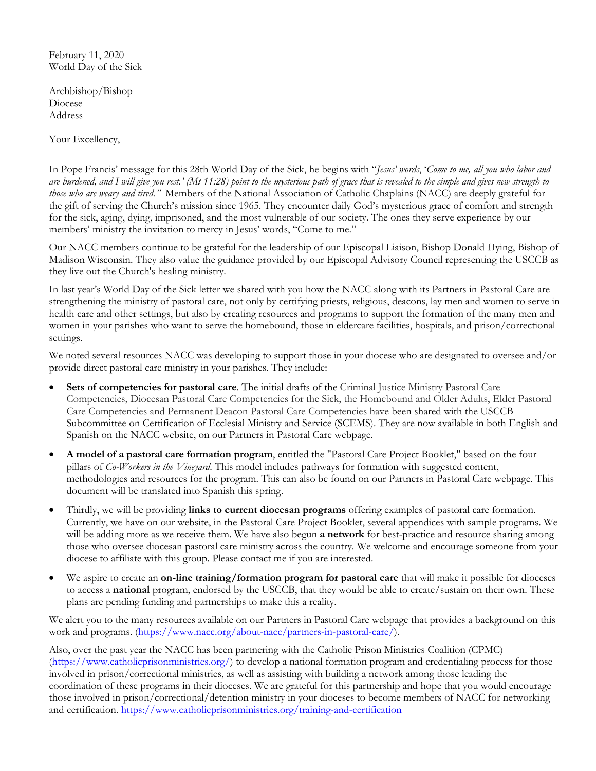February 11, 2020 World Day of the Sick

Archbishop/Bishop Diocese Address

Your Excellency,

In Pope Francis' message for this 28th World Day of the Sick, he begins with "*Jesus' words*, '*Come to me, all you who labor and are burdened, and I will give you rest.' (Mt 11:28) point to the mysterious path of grace that is revealed to the simple and gives new strength to those who are weary and tired."* Members of the National Association of Catholic Chaplains (NACC) are deeply grateful for the gift of serving the Church's mission since 1965. They encounter daily God's mysterious grace of comfort and strength for the sick, aging, dying, imprisoned, and the most vulnerable of our society. The ones they serve experience by our members' ministry the invitation to mercy in Jesus' words, "Come to me."

Our NACC members continue to be grateful for the leadership of our Episcopal Liaison, Bishop Donald Hying, Bishop of Madison Wisconsin. They also value the guidance provided by our Episcopal Advisory Council representing the USCCB as they live out the Church's healing ministry.

In last year's World Day of the Sick letter we shared with you how the NACC along with its Partners in Pastoral Care are strengthening the ministry of pastoral care, not only by certifying priests, religious, deacons, lay men and women to serve in health care and other settings, but also by creating resources and programs to support the formation of the many men and women in your parishes who want to serve the homebound, those in eldercare facilities, hospitals, and prison/correctional settings.

We noted several resources NACC was developing to support those in your diocese who are designated to oversee and/or provide direct pastoral care ministry in your parishes. They include:

- **Sets of competencies for pastoral care**. The initial drafts of the Criminal Justice Ministry Pastoral Care Competencies, Diocesan Pastoral Care Competencies for the Sick, the Homebound and Older Adults, Elder Pastoral Care Competencies and Permanent Deacon Pastoral Care Competencies have been shared with the USCCB Subcommittee on Certification of Ecclesial Ministry and Service (SCEMS). They are now available in both English and Spanish on the NACC website, on our Partners in Pastoral Care webpage.
- **A model of a pastoral care formation program**, entitled the "Pastoral Care Project Booklet," based on the four pillars of *Co-Workers in the Vineyard*. This model includes pathways for formation with suggested content, methodologies and resources for the program. This can also be found on our Partners in Pastoral Care webpage. This document will be translated into Spanish this spring.
- Thirdly, we will be providing **links to current diocesan programs** offering examples of pastoral care formation. Currently, we have on our website, in the Pastoral Care Project Booklet, several appendices with sample programs. We will be adding more as we receive them. We have also begun **a network** for best-practice and resource sharing among those who oversee diocesan pastoral care ministry across the country. We welcome and encourage someone from your diocese to affiliate with this group. Please contact me if you are interested.
- We aspire to create an **on-line training/formation program for pastoral care** that will make it possible for dioceses to access a **national** program, endorsed by the USCCB, that they would be able to create/sustain on their own. These plans are pending funding and partnerships to make this a reality.

We alert you to the many resources available on our Partners in Pastoral Care webpage that provides a background on this work and programs. (https://www.nacc.org/about-nacc/partners-in-pastoral-care/).

Also, over the past year the NACC has been partnering with the Catholic Prison Ministries Coalition (CPMC) (https://www.catholicprisonministries.org/) to develop a national formation program and credentialing process for those involved in prison/correctional ministries, as well as assisting with building a network among those leading the coordination of these programs in their dioceses. We are grateful for this partnership and hope that you would encourage those involved in prison/correctional/detention ministry in your dioceses to become members of NACC for networking and certification. https://www.catholicprisonministries.org/training-and-certification